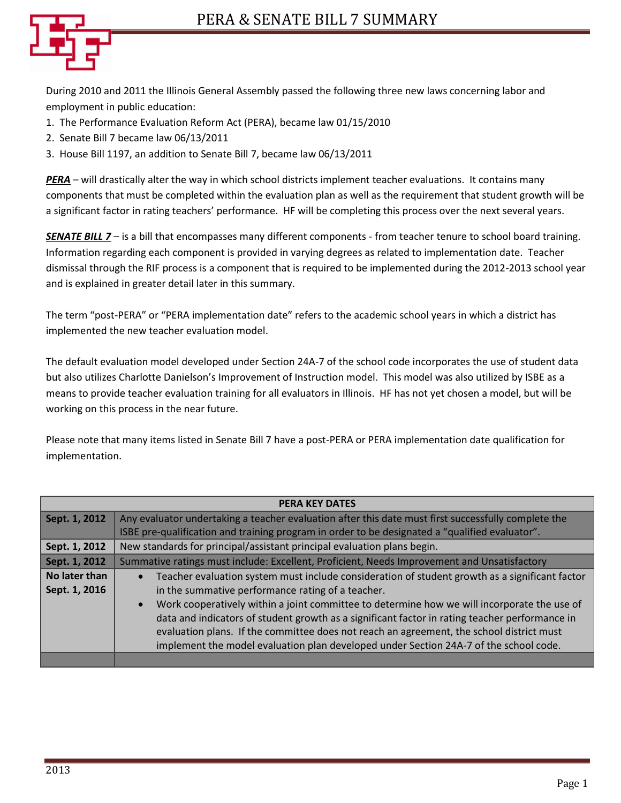

During 2010 and 2011 the Illinois General Assembly passed the following three new laws concerning labor and employment in public education:

- 1. The Performance Evaluation Reform Act (PERA), became law 01/15/2010
- 2. Senate Bill 7 became law 06/13/2011
- 3. House Bill 1197, an addition to Senate Bill 7, became law 06/13/2011

*PERA* – will drastically alter the way in which school districts implement teacher evaluations. It contains many components that must be completed within the evaluation plan as well as the requirement that student growth will be a significant factor in rating teachers' performance. HF will be completing this process over the next several years.

*SENATE BILL 7* – is a bill that encompasses many different components - from teacher tenure to school board training. Information regarding each component is provided in varying degrees as related to implementation date. Teacher dismissal through the RIF process is a component that is required to be implemented during the 2012-2013 school year and is explained in greater detail later in this summary.

The term "post-PERA" or "PERA implementation date" refers to the academic school years in which a district has implemented the new teacher evaluation model.

The default evaluation model developed under Section 24A-7 of the school code incorporates the use of student data but also utilizes Charlotte Danielson's Improvement of Instruction model. This model was also utilized by ISBE as a means to provide teacher evaluation training for all evaluators in Illinois. HF has not yet chosen a model, but will be working on this process in the near future.

Please note that many items listed in Senate Bill 7 have a post-PERA or PERA implementation date qualification for implementation.

| <b>PERA KEY DATES</b> |                                                                                                             |  |  |  |
|-----------------------|-------------------------------------------------------------------------------------------------------------|--|--|--|
| Sept. 1, 2012         | Any evaluator undertaking a teacher evaluation after this date must first successfully complete the         |  |  |  |
|                       | ISBE pre-qualification and training program in order to be designated a "qualified evaluator".              |  |  |  |
| Sept. 1, 2012         | New standards for principal/assistant principal evaluation plans begin.                                     |  |  |  |
| Sept. 1, 2012         | Summative ratings must include: Excellent, Proficient, Needs Improvement and Unsatisfactory                 |  |  |  |
| No later than         | Teacher evaluation system must include consideration of student growth as a significant factor<br>$\bullet$ |  |  |  |
| Sept. 1, 2016         | in the summative performance rating of a teacher.                                                           |  |  |  |
|                       | Work cooperatively within a joint committee to determine how we will incorporate the use of<br>$\bullet$    |  |  |  |
|                       | data and indicators of student growth as a significant factor in rating teacher performance in              |  |  |  |
|                       | evaluation plans. If the committee does not reach an agreement, the school district must                    |  |  |  |
|                       | implement the model evaluation plan developed under Section 24A-7 of the school code.                       |  |  |  |
|                       |                                                                                                             |  |  |  |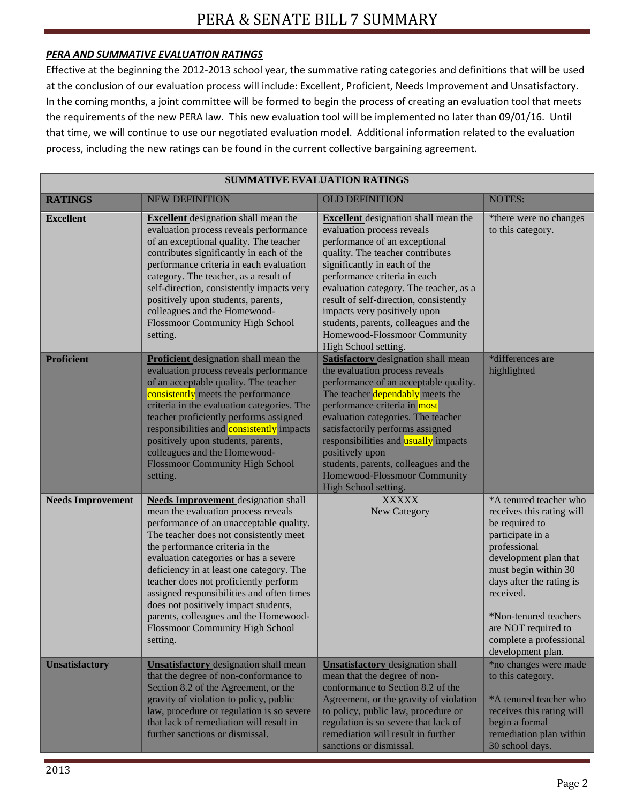# *PERA AND SUMMATIVE EVALUATION RATINGS*

Effective at the beginning the 2012-2013 school year, the summative rating categories and definitions that will be used at the conclusion of our evaluation process will include: Excellent, Proficient, Needs Improvement and Unsatisfactory. In the coming months, a joint committee will be formed to begin the process of creating an evaluation tool that meets the requirements of the new PERA law. This new evaluation tool will be implemented no later than 09/01/16. Until that time, we will continue to use our negotiated evaluation model. Additional information related to the evaluation process, including the new ratings can be found in the current collective bargaining agreement.

| <b>SUMMATIVE EVALUATION RATINGS</b> |                                                                                                                                                                                                                                                                                                                                                                                                                                                                                                                      |                                                                                                                                                                                                                                                                                                                                                                                                                                     |                                                                                                                                                                                                                                                                                                     |  |  |  |
|-------------------------------------|----------------------------------------------------------------------------------------------------------------------------------------------------------------------------------------------------------------------------------------------------------------------------------------------------------------------------------------------------------------------------------------------------------------------------------------------------------------------------------------------------------------------|-------------------------------------------------------------------------------------------------------------------------------------------------------------------------------------------------------------------------------------------------------------------------------------------------------------------------------------------------------------------------------------------------------------------------------------|-----------------------------------------------------------------------------------------------------------------------------------------------------------------------------------------------------------------------------------------------------------------------------------------------------|--|--|--|
| <b>RATINGS</b>                      | <b>NEW DEFINITION</b>                                                                                                                                                                                                                                                                                                                                                                                                                                                                                                | <b>OLD DEFINITION</b>                                                                                                                                                                                                                                                                                                                                                                                                               | <b>NOTES:</b>                                                                                                                                                                                                                                                                                       |  |  |  |
| <b>Excellent</b>                    | <b>Excellent</b> designation shall mean the<br>evaluation process reveals performance<br>of an exceptional quality. The teacher<br>contributes significantly in each of the<br>performance criteria in each evaluation<br>category. The teacher, as a result of<br>self-direction, consistently impacts very<br>positively upon students, parents,<br>colleagues and the Homewood-<br><b>Flossmoor Community High School</b><br>setting.                                                                             | <b>Excellent</b> designation shall mean the<br>evaluation process reveals<br>performance of an exceptional<br>quality. The teacher contributes<br>significantly in each of the<br>performance criteria in each<br>evaluation category. The teacher, as a<br>result of self-direction, consistently<br>impacts very positively upon<br>students, parents, colleagues and the<br>Homewood-Flossmoor Community<br>High School setting. | *there were no changes<br>to this category.                                                                                                                                                                                                                                                         |  |  |  |
| <b>Proficient</b>                   | <b>Proficient</b> designation shall mean the<br>evaluation process reveals performance<br>of an acceptable quality. The teacher<br>consistently meets the performance<br>criteria in the evaluation categories. The<br>teacher proficiently performs assigned<br>responsibilities and <b>consistently</b> impacts<br>positively upon students, parents,<br>colleagues and the Homewood-<br><b>Flossmoor Community High School</b><br>setting.                                                                        | <b>Satisfactory</b> designation shall mean<br>the evaluation process reveals<br>performance of an acceptable quality.<br>The teacher dependably meets the<br>performance criteria in most<br>evaluation categories. The teacher<br>satisfactorily performs assigned<br>responsibilities and usually impacts<br>positively upon<br>students, parents, colleagues and the<br>Homewood-Flossmoor Community<br>High School setting.     | *differences are<br>highlighted                                                                                                                                                                                                                                                                     |  |  |  |
| <b>Needs Improvement</b>            | <b>Needs Improvement</b> designation shall<br>mean the evaluation process reveals<br>performance of an unacceptable quality.<br>The teacher does not consistently meet<br>the performance criteria in the<br>evaluation categories or has a severe<br>deficiency in at least one category. The<br>teacher does not proficiently perform<br>assigned responsibilities and often times<br>does not positively impact students,<br>parents, colleagues and the Homewood-<br>Flossmoor Community High School<br>setting. | <b>XXXXX</b><br>New Category                                                                                                                                                                                                                                                                                                                                                                                                        | *A tenured teacher who<br>receives this rating will<br>be required to<br>participate in a<br>professional<br>development plan that<br>must begin within 30<br>days after the rating is<br>received.<br>*Non-tenured teachers<br>are NOT required to<br>complete a professional<br>development plan. |  |  |  |
| <b>Unsatisfactory</b>               | <b>Unsatisfactory</b> designation shall mean<br>that the degree of non-conformance to<br>Section 8.2 of the Agreement, or the<br>gravity of violation to policy, public<br>law, procedure or regulation is so severe<br>that lack of remediation will result in<br>further sanctions or dismissal.                                                                                                                                                                                                                   | <b>Unsatisfactory</b> designation shall<br>mean that the degree of non-<br>conformance to Section 8.2 of the<br>Agreement, or the gravity of violation<br>to policy, public law, procedure or<br>regulation is so severe that lack of<br>remediation will result in further<br>sanctions or dismissal.                                                                                                                              | *no changes were made<br>to this category.<br>*A tenured teacher who<br>receives this rating will<br>begin a formal<br>remediation plan within<br>30 school days.                                                                                                                                   |  |  |  |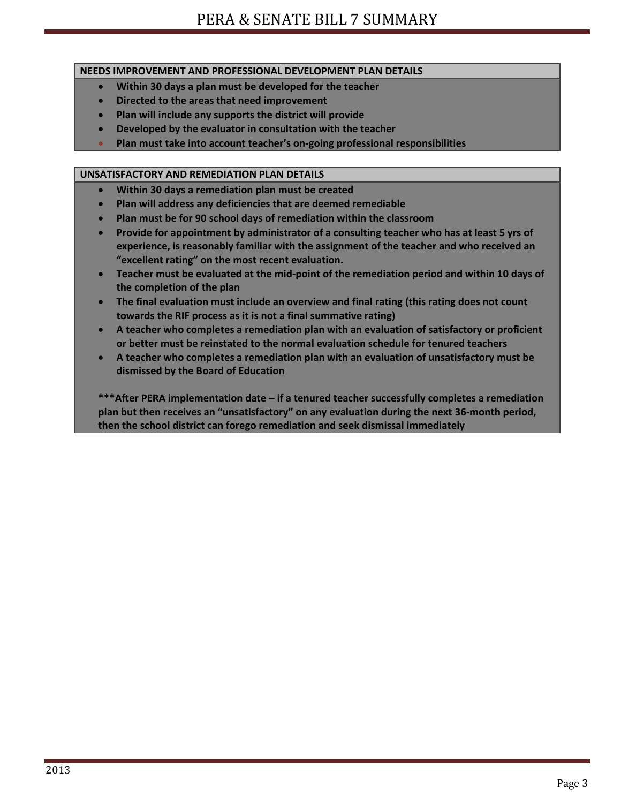## **NEEDS IMPROVEMENT AND PROFESSIONAL DEVELOPMENT PLAN DETAILS**

- **Within 30 days a plan must be developed for the teacher**
- **Directed to the areas that need improvement**
- **Plan will include any supports the district will provide**
- **Developed by the evaluator in consultation with the teacher**
- **Plan must take into account teacher's on-going professional responsibilities**

## **UNSATISFACTORY AND REMEDIATION PLAN DETAILS**

- **Within 30 days a remediation plan must be created**
- **Plan will address any deficiencies that are deemed remediable**
- **Plan must be for 90 school days of remediation within the classroom**
- **Provide for appointment by administrator of a consulting teacher who has at least 5 yrs of experience, is reasonably familiar with the assignment of the teacher and who received an "excellent rating" on the most recent evaluation.**
- **Teacher must be evaluated at the mid-point of the remediation period and within 10 days of the completion of the plan**
- **The final evaluation must include an overview and final rating (this rating does not count towards the RIF process as it is not a final summative rating)**
- **A teacher who completes a remediation plan with an evaluation of satisfactory or proficient or better must be reinstated to the normal evaluation schedule for tenured teachers**
- **A teacher who completes a remediation plan with an evaluation of unsatisfactory must be dismissed by the Board of Education**

**\*\*\*After PERA implementation date – if a tenured teacher successfully completes a remediation plan but then receives an "unsatisfactory" on any evaluation during the next 36-month period, then the school district can forego remediation and seek dismissal immediately**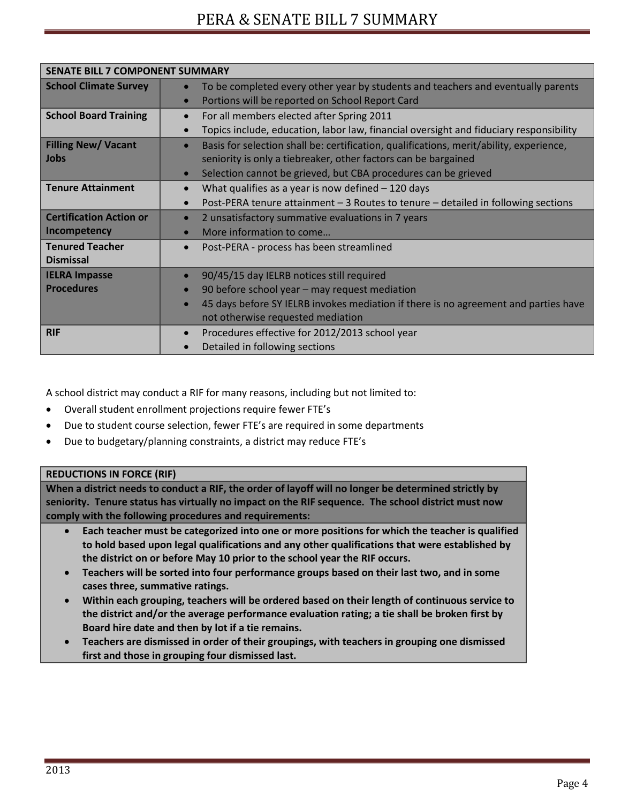| <b>SENATE BILL 7 COMPONENT SUMMARY</b> |                                                                                                      |  |  |  |
|----------------------------------------|------------------------------------------------------------------------------------------------------|--|--|--|
| <b>School Climate Survey</b>           | To be completed every other year by students and teachers and eventually parents<br>$\bullet$        |  |  |  |
|                                        | Portions will be reported on School Report Card                                                      |  |  |  |
| <b>School Board Training</b>           | For all members elected after Spring 2011<br>$\bullet$                                               |  |  |  |
|                                        | Topics include, education, labor law, financial oversight and fiduciary responsibility<br>$\bullet$  |  |  |  |
| <b>Filling New/ Vacant</b>             | Basis for selection shall be: certification, qualifications, merit/ability, experience,<br>$\bullet$ |  |  |  |
| <b>Jobs</b>                            | seniority is only a tiebreaker, other factors can be bargained                                       |  |  |  |
|                                        | Selection cannot be grieved, but CBA procedures can be grieved<br>$\bullet$                          |  |  |  |
| <b>Tenure Attainment</b>               | What qualifies as a year is now defined $-120$ days<br>$\bullet$                                     |  |  |  |
|                                        | Post-PERA tenure attainment - 3 Routes to tenure - detailed in following sections                    |  |  |  |
| <b>Certification Action or</b>         | 2 unsatisfactory summative evaluations in 7 years<br>$\bullet$                                       |  |  |  |
| Incompetency                           | More information to come                                                                             |  |  |  |
| <b>Tenured Teacher</b>                 | Post-PERA - process has been streamlined<br>$\bullet$                                                |  |  |  |
| <b>Dismissal</b>                       |                                                                                                      |  |  |  |
| <b>IELRA Impasse</b>                   | 90/45/15 day IELRB notices still required<br>$\bullet$                                               |  |  |  |
| <b>Procedures</b>                      | 90 before school year - may request mediation<br>$\bullet$                                           |  |  |  |
|                                        | 45 days before SY IELRB invokes mediation if there is no agreement and parties have<br>$\bullet$     |  |  |  |
|                                        | not otherwise requested mediation                                                                    |  |  |  |
| <b>RIF</b>                             | Procedures effective for 2012/2013 school year<br>$\bullet$                                          |  |  |  |
|                                        | Detailed in following sections                                                                       |  |  |  |

A school district may conduct a RIF for many reasons, including but not limited to:

- Overall student enrollment projections require fewer FTE's
- Due to student course selection, fewer FTE's are required in some departments
- Due to budgetary/planning constraints, a district may reduce FTE's

#### **REDUCTIONS IN FORCE (RIF)**

**When a district needs to conduct a RIF, the order of layoff will no longer be determined strictly by seniority. Tenure status has virtually no impact on the RIF sequence. The school district must now comply with the following procedures and requirements:**

- **Each teacher must be categorized into one or more positions for which the teacher is qualified to hold based upon legal qualifications and any other qualifications that were established by the district on or before May 10 prior to the school year the RIF occurs.**
- **Teachers will be sorted into four performance groups based on their last two, and in some cases three, summative ratings.**
- **Within each grouping, teachers will be ordered based on their length of continuous service to the district and/or the average performance evaluation rating; a tie shall be broken first by Board hire date and then by lot if a tie remains.**
- **Teachers are dismissed in order of their groupings, with teachers in grouping one dismissed first and those in grouping four dismissed last.**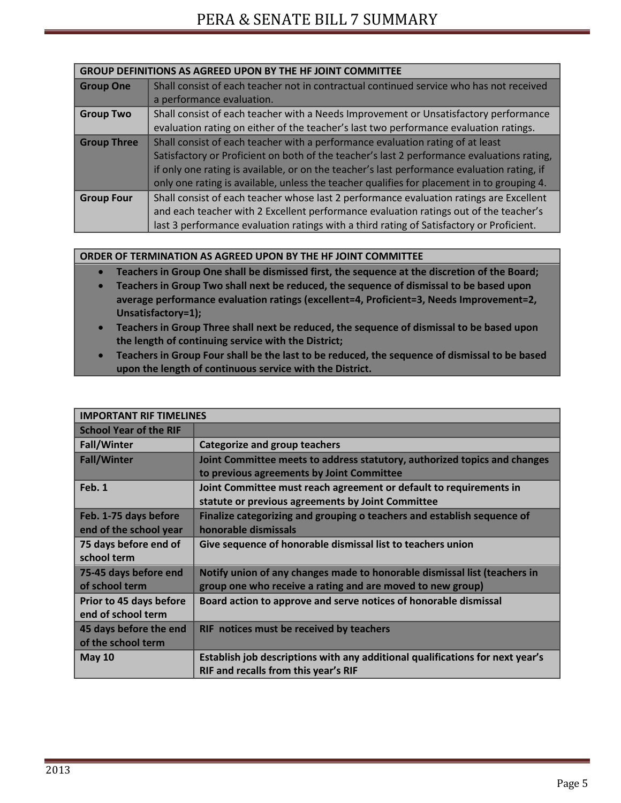| <b>GROUP DEFINITIONS AS AGREED UPON BY THE HF JOINT COMMITTEE</b> |                                                                                             |  |
|-------------------------------------------------------------------|---------------------------------------------------------------------------------------------|--|
| <b>Group One</b>                                                  | Shall consist of each teacher not in contractual continued service who has not received     |  |
|                                                                   | a performance evaluation.                                                                   |  |
| <b>Group Two</b>                                                  | Shall consist of each teacher with a Needs Improvement or Unsatisfactory performance        |  |
|                                                                   | evaluation rating on either of the teacher's last two performance evaluation ratings.       |  |
| <b>Group Three</b>                                                | Shall consist of each teacher with a performance evaluation rating of at least              |  |
|                                                                   | Satisfactory or Proficient on both of the teacher's last 2 performance evaluations rating,  |  |
|                                                                   | if only one rating is available, or on the teacher's last performance evaluation rating, if |  |
|                                                                   | only one rating is available, unless the teacher qualifies for placement in to grouping 4.  |  |
| <b>Group Four</b>                                                 | Shall consist of each teacher whose last 2 performance evaluation ratings are Excellent     |  |
|                                                                   | and each teacher with 2 Excellent performance evaluation ratings out of the teacher's       |  |
|                                                                   | last 3 performance evaluation ratings with a third rating of Satisfactory or Proficient.    |  |

### **ORDER OF TERMINATION AS AGREED UPON BY THE HF JOINT COMMITTEE**

- **Teachers in Group One shall be dismissed first, the sequence at the discretion of the Board;**
- **Teachers in Group Two shall next be reduced, the sequence of dismissal to be based upon average performance evaluation ratings (excellent=4, Proficient=3, Needs Improvement=2, Unsatisfactory=1);**
- **Teachers in Group Three shall next be reduced, the sequence of dismissal to be based upon the length of continuing service with the District;**
- **Teachers in Group Four shall be the last to be reduced, the sequence of dismissal to be based upon the length of continuous service with the District.**

| <b>IMPORTANT RIF TIMELINES</b> |                                                                               |  |  |  |
|--------------------------------|-------------------------------------------------------------------------------|--|--|--|
| <b>School Year of the RIF</b>  |                                                                               |  |  |  |
| <b>Fall/Winter</b>             | <b>Categorize and group teachers</b>                                          |  |  |  |
| <b>Fall/Winter</b>             | Joint Committee meets to address statutory, authorized topics and changes     |  |  |  |
|                                | to previous agreements by Joint Committee                                     |  |  |  |
| Feb. 1                         | Joint Committee must reach agreement or default to requirements in            |  |  |  |
|                                | statute or previous agreements by Joint Committee                             |  |  |  |
| Feb. 1-75 days before          | Finalize categorizing and grouping o teachers and establish sequence of       |  |  |  |
| end of the school year         | honorable dismissals                                                          |  |  |  |
| 75 days before end of          | Give sequence of honorable dismissal list to teachers union                   |  |  |  |
| school term                    |                                                                               |  |  |  |
| 75-45 days before end          | Notify union of any changes made to honorable dismissal list (teachers in     |  |  |  |
| of school term                 | group one who receive a rating and are moved to new group)                    |  |  |  |
| Prior to 45 days before        | Board action to approve and serve notices of honorable dismissal              |  |  |  |
| end of school term             |                                                                               |  |  |  |
| 45 days before the end         | RIF notices must be received by teachers                                      |  |  |  |
| of the school term             |                                                                               |  |  |  |
| <b>May 10</b>                  | Establish job descriptions with any additional qualifications for next year's |  |  |  |
|                                | RIF and recalls from this year's RIF                                          |  |  |  |